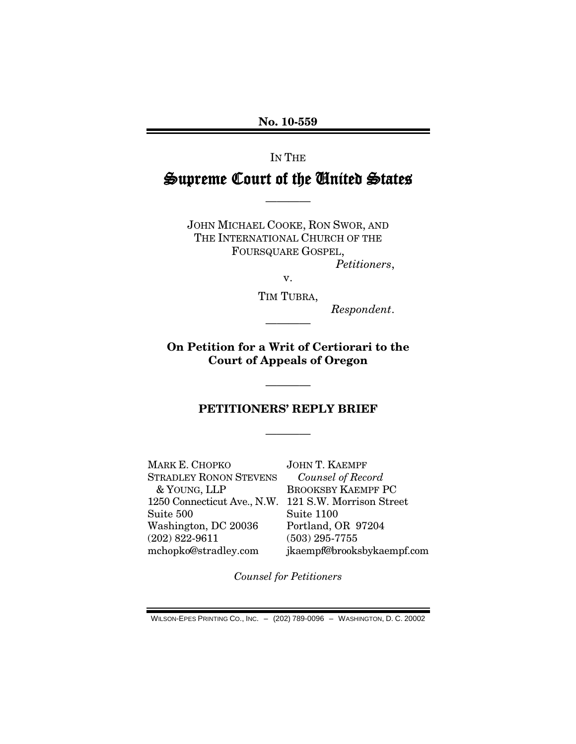**No. 10-559**

IN THE

# Supreme Court of the United States

————

JOHN MICHAEL COOKE, RON SWOR, AND THE INTERNATIONAL CHURCH OF THE FOURSQUARE GOSPEL, *Petitioners*,

v.

TIM TUBRA,

————

*Respondent*.

**On Petition for a Writ of Certiorari to the Court of Appeals of Oregon**

### **PETITIONERS' REPLY BRIEF**

————

————

MARK E. CHOPKO STRADLEY RONON STEVENS & YOUNG, LLP 1250 Connecticut Ave., N.W. 121 S.W. Morrison Street Suite 500 Washington, DC 20036 (202) 822-9611 mchopko@stradley.com JOHN T. KAEMPF *Counsel of Record* BROOKSBY KAEMPF PC Suite 1100 Portland, OR 97204 (503) 295-7755 jkaempf@brooksbykaempf.com

*Counsel for Petitioners*

WILSON-EPES PRINTING CO., INC. – (202) 789-0096 – WASHINGTON, D. C. 20002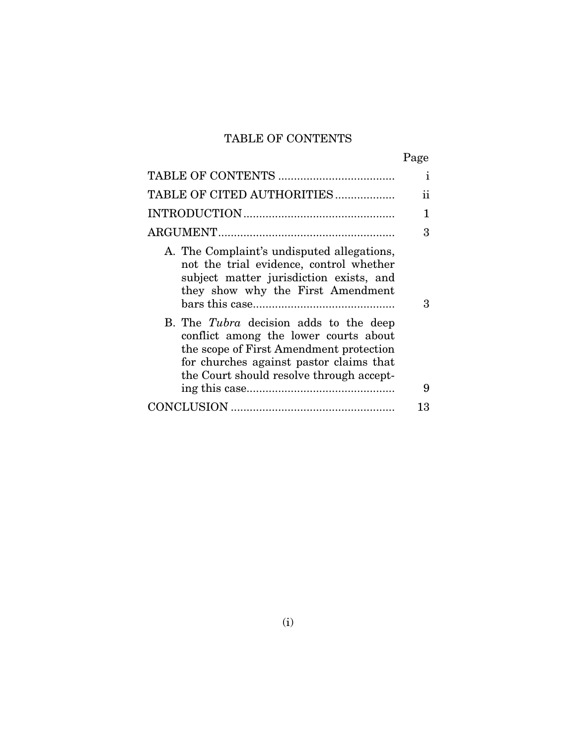# TABLE OF CONTENTS

|                                                                                                                                                                                                                   | Page         |
|-------------------------------------------------------------------------------------------------------------------------------------------------------------------------------------------------------------------|--------------|
|                                                                                                                                                                                                                   | $\mathbf{i}$ |
| TABLE OF CITED AUTHORITIES                                                                                                                                                                                        | ii           |
|                                                                                                                                                                                                                   | 1            |
|                                                                                                                                                                                                                   | 3            |
| A. The Complaint's undisputed allegations,<br>not the trial evidence, control whether<br>subject matter jurisdiction exists, and<br>they show why the First Amendment                                             | 3            |
| B. The Tubra decision adds to the deep<br>conflict among the lower courts about<br>the scope of First Amendment protection<br>for churches against pastor claims that<br>the Court should resolve through accept- | 9            |
|                                                                                                                                                                                                                   | 13           |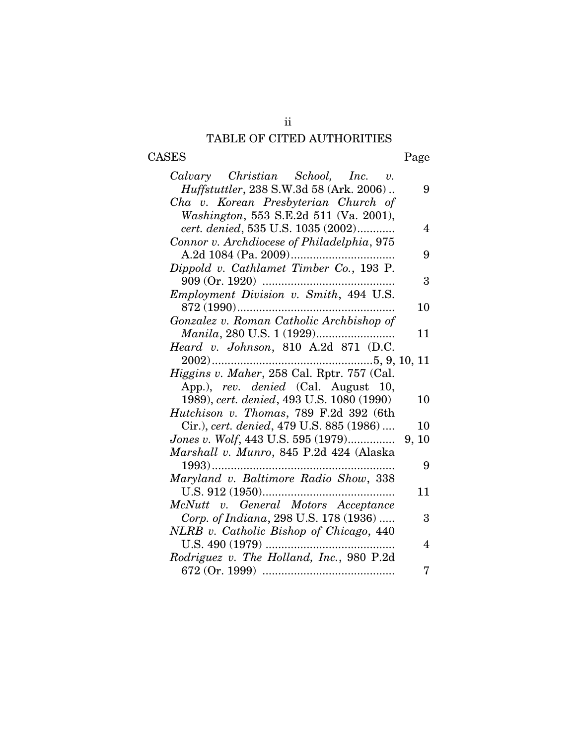# TABLE OF CITED AUTHORITIES

ii

# CASES Page

| Calvary Christian School, Inc. v.               |    |
|-------------------------------------------------|----|
| <i>Huffstuttler</i> , 238 S.W.3d 58 (Ark. 2006) | 9  |
| Cha v. Korean Presbyterian Church of            |    |
| Washington, 553 S.E.2d 511 (Va. 2001),          |    |
| cert. denied, 535 U.S. 1035 (2002)              | 4  |
| Connor v. Archdiocese of Philadelphia, 975      |    |
| A.2d 1084 (Pa. 2009)                            | 9  |
| Dippold v. Cathlamet Timber Co., 193 P.         |    |
| 909 (Or. 1920)                                  | 3  |
| Employment Division v. Smith, 494 U.S.          |    |
|                                                 | 10 |
| Gonzalez v. Roman Catholic Archbishop of        |    |
|                                                 | 11 |
| Heard v. Johnson, 810 A.2d 871 (D.C.            |    |
|                                                 |    |
| Higgins v. Maher, 258 Cal. Rptr. 757 (Cal.      |    |
| App.), rev. denied (Cal. August 10,             |    |
| 1989), cert. denied, 493 U.S. 1080 (1990)       | 10 |
| Hutchison v. Thomas, 789 F.2d 392 (6th          |    |
| Cir.), cert. denied, 479 U.S. 885 (1986)        | 10 |
|                                                 |    |
| Marshall v. Munro, 845 P.2d 424 (Alaska         |    |
|                                                 | 9  |
| Maryland v. Baltimore Radio Show, 338           |    |
|                                                 | 11 |
| McNutt v. General Motors Acceptance             |    |
| Corp. of Indiana, 298 U.S. 178 (1936)           | 3  |
| NLRB v. Catholic Bishop of Chicago, 440         |    |
| U.S. $490(1979)$                                | 4  |
| Rodriguez v. The Holland, Inc., 980 P.2d        |    |
|                                                 | 7  |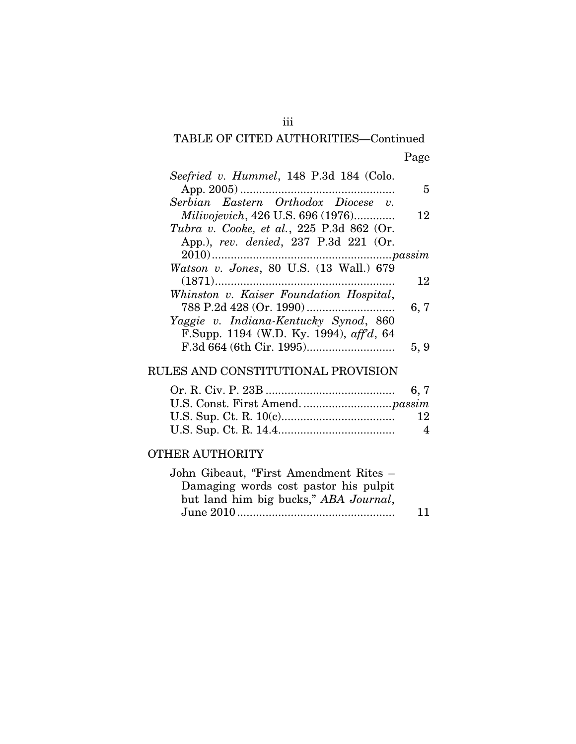# TABLE OF CITED AUTHORITIES—Continued Page

|      | Seefried v. Hummel, 148 P.3d 184 (Colo.         |
|------|-------------------------------------------------|
| 5    |                                                 |
|      | Serbian Eastern Orthodox Diocese v.             |
| 12   | <i>Milivojevich</i> , 426 U.S. 696 (1976)       |
|      | Tubra v. Cooke, et al., 225 P.3d 862 (Or.       |
|      | App.), rev. denied, 237 P.3d 221 (Or.           |
|      |                                                 |
|      | Watson v. Jones, 80 U.S. (13 Wall.) 679         |
| 12   |                                                 |
|      | Whinston v. Kaiser Foundation Hospital,         |
| 6, 7 |                                                 |
|      | Yaggie v. Indiana-Kentucky Synod, 860           |
|      | F.Supp. 1194 (W.D. Ky. 1994), $\alpha f/d$ , 64 |
| 5, 9 |                                                 |

## RULES AND CONSTITUTIONAL PROVISION

| 12             |
|----------------|
| $\overline{4}$ |

## OTHER AUTHORITY

| John Gibeaut, "First Amendment Rites – |    |
|----------------------------------------|----|
| Damaging words cost pastor his pulpit  |    |
| but land him big bucks," ABA Journal,  |    |
|                                        | 11 |
|                                        |    |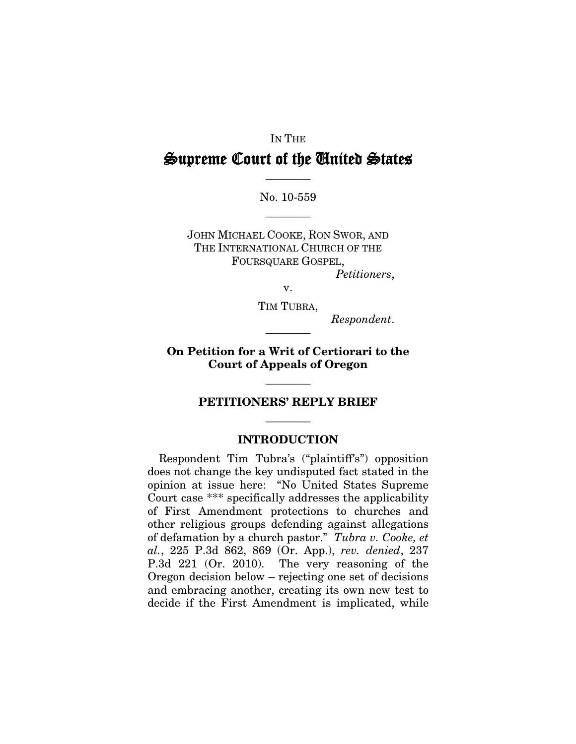#### IN THE

# Supreme Court of the United States

———— No. 10-559

————

JOHN MICHAEL COOKE, RON SWOR, AND THE INTERNATIONAL CHURCH OF THE FOURSQUARE GOSPEL, *Petitioners*,

v.

TIM TUBRA,

*Respondent*.

**On Petition for a Writ of Certiorari to the Court of Appeals of Oregon**

————

# ———— **PETITIONERS' REPLY BRIEF**

## ———— **INTRODUCTION**

Respondent Tim Tubra's ("plaintiff's") opposition does not change the key undisputed fact stated in the opinion at issue here: "No United States Supreme Court case \*\*\* specifically addresses the applicability of First Amendment protections to churches and other religious groups defending against allegations of defamation by a church pastor." *Tubra v. Cooke, et al.*, 225 P.3d 862, 869 (Or. App.), *rev. denied*, 237 P.3d 221 (Or. 2010). The very reasoning of the Oregon decision below – rejecting one set of decisions and embracing another, creating its own new test to decide if the First Amendment is implicated, while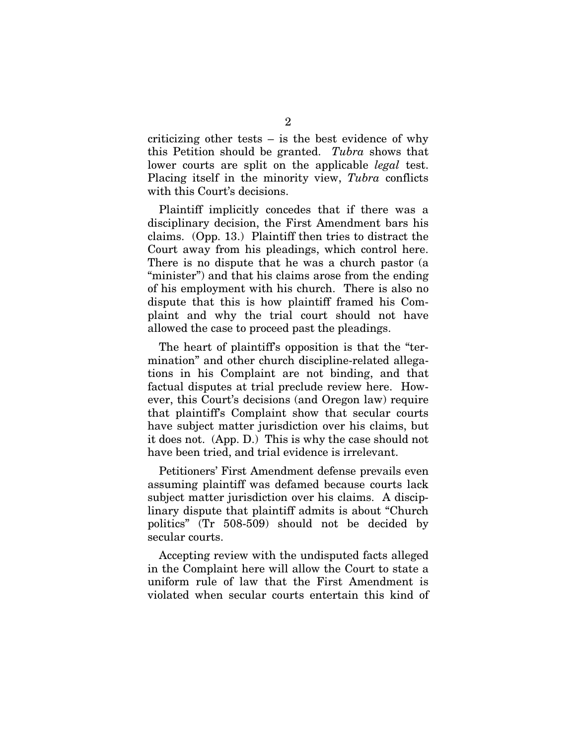criticizing other tests  $-$  is the best evidence of why this Petition should be granted. *Tubra* shows that lower courts are split on the applicable *legal* test. Placing itself in the minority view, *Tubra* conflicts with this Court's decisions.

Plaintiff implicitly concedes that if there was a disciplinary decision, the First Amendment bars his claims. (Opp. 13.) Plaintiff then tries to distract the Court away from his pleadings, which control here. There is no dispute that he was a church pastor (a "minister") and that his claims arose from the ending of his employment with his church. There is also no dispute that this is how plaintiff framed his Complaint and why the trial court should not have allowed the case to proceed past the pleadings.

The heart of plaintiff's opposition is that the "termination" and other church discipline-related allegations in his Complaint are not binding, and that factual disputes at trial preclude review here. However, this Court's decisions (and Oregon law) require that plaintiff's Complaint show that secular courts have subject matter jurisdiction over his claims, but it does not. (App. D.) This is why the case should not have been tried, and trial evidence is irrelevant.

Petitioners' First Amendment defense prevails even assuming plaintiff was defamed because courts lack subject matter jurisdiction over his claims. A disciplinary dispute that plaintiff admits is about "Church politics" (Tr 508-509) should not be decided by secular courts.

Accepting review with the undisputed facts alleged in the Complaint here will allow the Court to state a uniform rule of law that the First Amendment is violated when secular courts entertain this kind of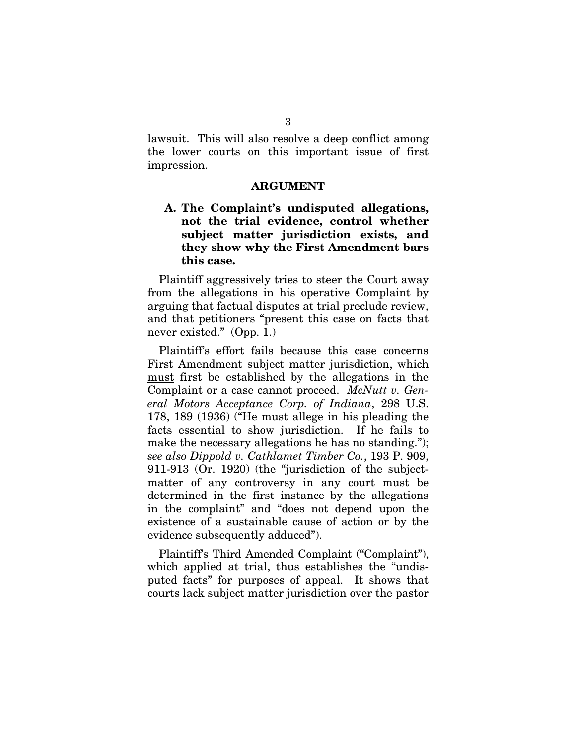lawsuit. This will also resolve a deep conflict among the lower courts on this important issue of first impression.

#### **ARGUMENT**

#### **A. The Complaint's undisputed allegations, not the trial evidence, control whether subject matter jurisdiction exists, and they show why the First Amendment bars this case.**

Plaintiff aggressively tries to steer the Court away from the allegations in his operative Complaint by arguing that factual disputes at trial preclude review, and that petitioners "present this case on facts that never existed." (Opp. 1.)

Plaintiff's effort fails because this case concerns First Amendment subject matter jurisdiction, which must first be established by the allegations in the Complaint or a case cannot proceed. *McNutt v. General Motors Acceptance Corp. of Indiana*, 298 U.S. 178, 189 (1936) ("He must allege in his pleading the facts essential to show jurisdiction. If he fails to make the necessary allegations he has no standing."); *see also Dippold v. Cathlamet Timber Co.*, 193 P. 909, 911-913 (Or. 1920) (the "jurisdiction of the subjectmatter of any controversy in any court must be determined in the first instance by the allegations in the complaint" and "does not depend upon the existence of a sustainable cause of action or by the evidence subsequently adduced").

Plaintiff's Third Amended Complaint ("Complaint"), which applied at trial, thus establishes the "undisputed facts" for purposes of appeal. It shows that courts lack subject matter jurisdiction over the pastor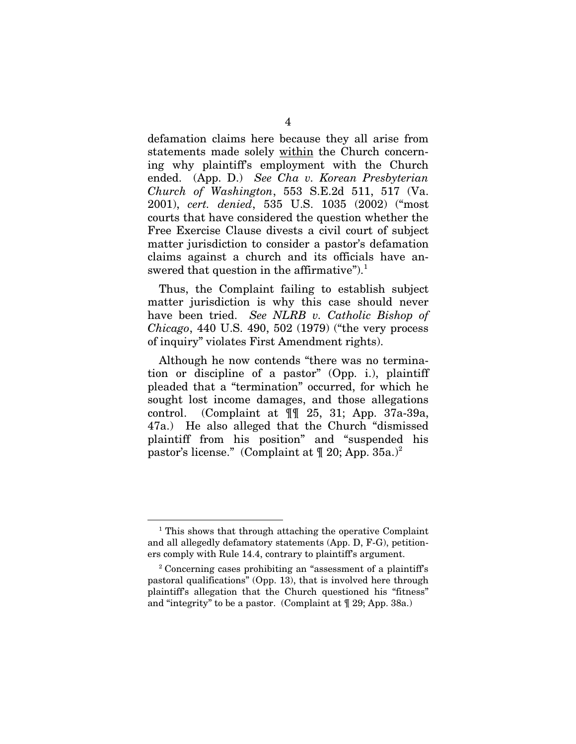defamation claims here because they all arise from statements made solely within the Church concerning why plaintiff's employment with the Church ended. (App. D.) *See Cha v. Korean Presbyterian Church of Washington*, 553 S.E.2d 511, 517 (Va. 2001), *cert. denied*, 535 U.S. 1035 (2002) ("most courts that have considered the question whether the Free Exercise Clause divests a civil court of subject matter jurisdiction to consider a pastor's defamation claims against a church and its officials have answered that question in the affirmative").<sup>[1](#page-7-0)</sup>

Thus, the Complaint failing to establish subject matter jurisdiction is why this case should never have been tried. *See NLRB v. Catholic Bishop of Chicago*, 440 U.S. 490, 502 (1979) ("the very process of inquiry" violates First Amendment rights).

Although he now contends "there was no termination or discipline of a pastor" (Opp. i.), plaintiff pleaded that a "termination" occurred, for which he sought lost income damages, and those allegations control. (Complaint at ¶¶ 25, 31; App. 37a-39a, 47a.) He also alleged that the Church "dismissed plaintiff from his position" and "suspended his pastor's license." (Complaint at  $\P$  [2](#page-7-1)0; App. 35a.)<sup>2</sup>

<span id="page-7-0"></span><sup>&</sup>lt;sup>1</sup> This shows that through attaching the operative Complaint and all allegedly defamatory statements (App. D, F-G), petitioners comply with Rule 14.4, contrary to plaintiff's argument.

<span id="page-7-1"></span> $2^2$  Concerning cases prohibiting an "assessment of a plaintiff's pastoral qualifications" (Opp. 13), that is involved here through plaintiff's allegation that the Church questioned his "fitness" and "integrity" to be a pastor. (Complaint at ¶ 29; App. 38a.)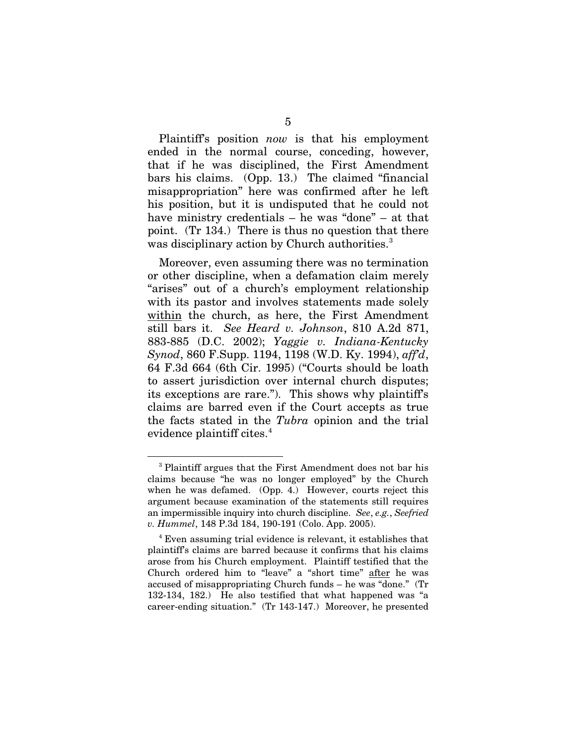Plaintiff's position *now* is that his employment ended in the normal course, conceding, however, that if he was disciplined, the First Amendment bars his claims. (Opp. 13.) The claimed "financial misappropriation" here was confirmed after he left his position, but it is undisputed that he could not have ministry credentials – he was "done" – at that point. (Tr 134.) There is thus no question that there was disciplinary action by Church authorities.<sup>[3](#page-8-0)</sup>

Moreover, even assuming there was no termination or other discipline, when a defamation claim merely "arises" out of a church's employment relationship with its pastor and involves statements made solely within the church, as here, the First Amendment still bars it. *See Heard v. Johnson*, 810 A.2d 871, 883-885 (D.C. 2002); *Yaggie v. Indiana-Kentucky Synod*, 860 F.Supp. 1194, 1198 (W.D. Ky. 1994), *aff'd*, 64 F.3d 664 (6th Cir. 1995) ("Courts should be loath to assert jurisdiction over internal church disputes; its exceptions are rare."). This shows why plaintiff's claims are barred even if the Court accepts as true the facts stated in the *Tubra* opinion and the trial evidence plaintiff cites. [4](#page-8-1)

<span id="page-8-0"></span><sup>3</sup> Plaintiff argues that the First Amendment does not bar his claims because "he was no longer employed" by the Church when he was defamed. (Opp. 4.) However, courts reject this argument because examination of the statements still requires an impermissible inquiry into church discipline. *See*, *e.g.*, *Seefried v. Hummel*, 148 P.3d 184, 190-191 (Colo. App. 2005).

<span id="page-8-1"></span><sup>4</sup> Even assuming trial evidence is relevant, it establishes that plaintiff's claims are barred because it confirms that his claims arose from his Church employment. Plaintiff testified that the Church ordered him to "leave" a "short time" after he was accused of misappropriating Church funds – he was "done." (Tr 132-134, 182.) He also testified that what happened was "a career-ending situation." (Tr 143-147.) Moreover, he presented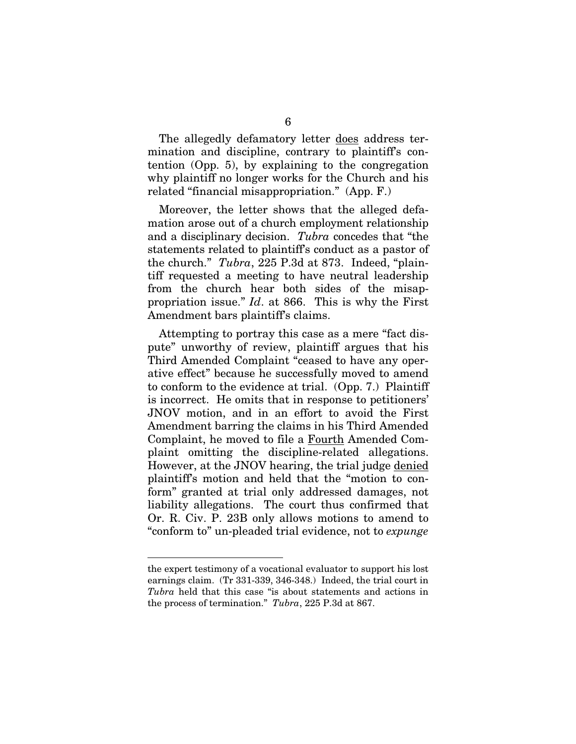The allegedly defamatory letter does address termination and discipline, contrary to plaintiff's contention (Opp. 5), by explaining to the congregation why plaintiff no longer works for the Church and his related "financial misappropriation." (App. F.)

Moreover, the letter shows that the alleged defamation arose out of a church employment relationship and a disciplinary decision. *Tubra* concedes that "the statements related to plaintiff's conduct as a pastor of the church." *Tubra*, 225 P.3d at 873. Indeed, "plaintiff requested a meeting to have neutral leadership from the church hear both sides of the misappropriation issue." *Id*. at 866. This is why the First Amendment bars plaintiff's claims.

Attempting to portray this case as a mere "fact dispute" unworthy of review, plaintiff argues that his Third Amended Complaint "ceased to have any operative effect" because he successfully moved to amend to conform to the evidence at trial. (Opp. 7.) Plaintiff is incorrect. He omits that in response to petitioners' JNOV motion, and in an effort to avoid the First Amendment barring the claims in his Third Amended Complaint, he moved to file a Fourth Amended Complaint omitting the discipline-related allegations. However, at the JNOV hearing, the trial judge denied plaintiff's motion and held that the "motion to conform" granted at trial only addressed damages, not liability allegations. The court thus confirmed that Or. R. Civ. P. 23B only allows motions to amend to "conform to" un-pleaded trial evidence, not to *expunge*

the expert testimony of a vocational evaluator to support his lost earnings claim. (Tr 331-339, 346-348.) Indeed, the trial court in *Tubra* held that this case "is about statements and actions in the process of termination." *Tubra*, 225 P.3d at 867.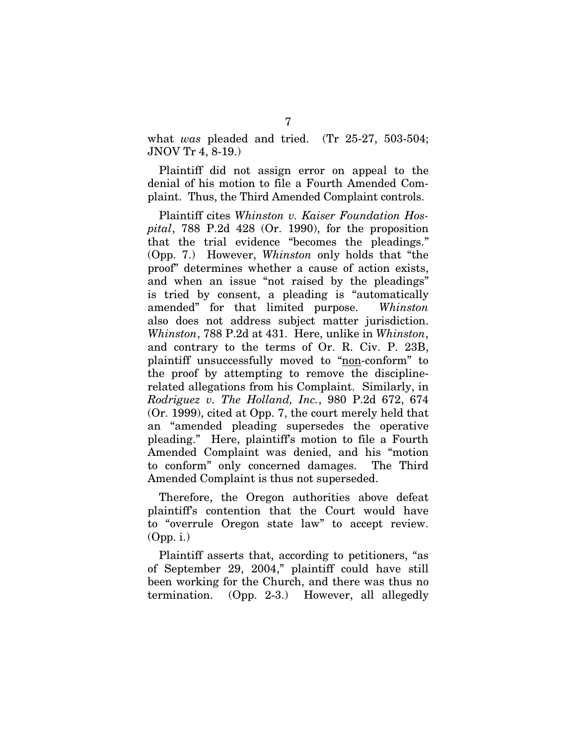what *was* pleaded and tried. (Tr 25-27, 503-504; JNOV Tr 4, 8-19.)

Plaintiff did not assign error on appeal to the denial of his motion to file a Fourth Amended Complaint. Thus, the Third Amended Complaint controls.

Plaintiff cites *Whinston v. Kaiser Foundation Hospital*, 788 P.2d 428 (Or. 1990), for the proposition that the trial evidence "becomes the pleadings." (Opp. 7.) However, *Whinston* only holds that "the proof" determines whether a cause of action exists, and when an issue "not raised by the pleadings" is tried by consent, a pleading is "automatically amended" for that limited purpose. *Whinston* also does not address subject matter jurisdiction. *Whinston*, 788 P.2d at 431. Here, unlike in *Whinston*, and contrary to the terms of Or. R. Civ. P. 23B, plaintiff unsuccessfully moved to "non-conform" to the proof by attempting to remove the disciplinerelated allegations from his Complaint. Similarly, in *Rodriguez v. The Holland, Inc.*, 980 P.2d 672, 674 (Or. 1999), cited at Opp. 7, the court merely held that an "amended pleading supersedes the operative pleading." Here, plaintiff's motion to file a Fourth Amended Complaint was denied, and his "motion to conform" only concerned damages. The Third Amended Complaint is thus not superseded.

Therefore, the Oregon authorities above defeat plaintiff's contention that the Court would have to "overrule Oregon state law" to accept review. (Opp. i.)

Plaintiff asserts that, according to petitioners, "as of September 29, 2004," plaintiff could have still been working for the Church, and there was thus no termination. (Opp. 2-3.) However, all allegedly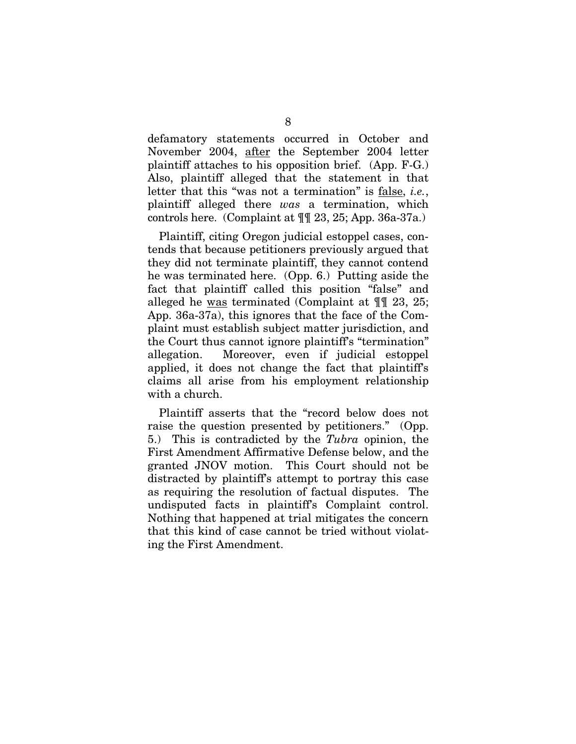defamatory statements occurred in October and November 2004, after the September 2004 letter plaintiff attaches to his opposition brief. (App. F-G.) Also, plaintiff alleged that the statement in that letter that this "was not a termination" is false , *i.e.*, plaintiff alleged there *was* a termination, which controls here. (Complaint at ¶¶ 23, 25; App. 36a-37a.)

Plaintiff, citing Oregon judicial estoppel cases, contends that because petitioners previously argued that they did not terminate plaintiff, they cannot contend he was terminated here. (Opp. 6.) Putting aside the fact that plaintiff called this position "false" and alleged he was terminated (Complaint at ¶¶ 23, 25; App. 36a-37a), this ignores that the face of the Complaint must establish subject matter jurisdiction, and the Court thus cannot ignore plaintiff's "termination" allegation. Moreover, even if judicial estoppel applied, it does not change the fact that plaintiff's claims all arise from his employment relationship with a church.

Plaintiff asserts that the "record below does not raise the question presented by petitioners." (Opp. 5.) This is contradicted by the *Tubra* opinion, the First Amendment Affirmative Defense below, and the granted JNOV motion. This Court should not be distracted by plaintiff's attempt to portray this case as requiring the resolution of factual disputes. The undisputed facts in plaintiff's Complaint control. Nothing that happened at trial mitigates the concern that this kind of case cannot be tried without violating the First Amendment.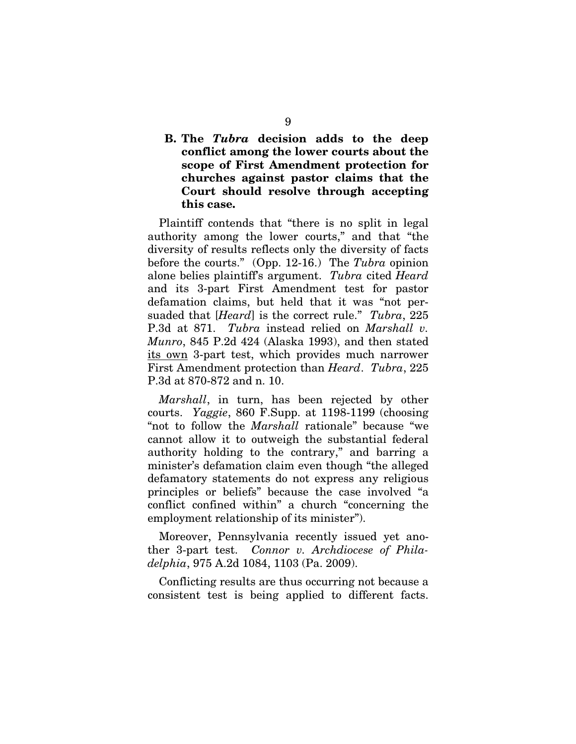#### **B. The** *Tubra* **decision adds to the deep conflict among the lower courts about the scope of First Amendment protection for churches against pastor claims that the Court should resolve through accepting this case.**

Plaintiff contends that "there is no split in legal authority among the lower courts," and that "the diversity of results reflects only the diversity of facts before the courts." (Opp. 12-16.) The *Tubra* opinion alone belies plaintiff's argument. *Tubra* cited *Heard* and its 3-part First Amendment test for pastor defamation claims, but held that it was "not persuaded that [*Heard*] is the correct rule." *Tubra*, 225 P.3d at 871. *Tubra* instead relied on *Marshall v. Munro*, 845 P.2d 424 (Alaska 1993), and then stated its own 3-part test, which provides much narrower First Amendment protection than *Heard*. *Tubra*, 225 P.3d at 870-872 and n. 10.

*Marshall*, in turn, has been rejected by other courts. *Yaggie*, 860 F.Supp. at 1198-1199 (choosing "not to follow the *Marshall* rationale" because "we cannot allow it to outweigh the substantial federal authority holding to the contrary," and barring a minister's defamation claim even though "the alleged defamatory statements do not express any religious principles or beliefs" because the case involved "a conflict confined within" a church "concerning the employment relationship of its minister").

Moreover, Pennsylvania recently issued yet another 3-part test. *Connor v. Archdiocese of Philadelphia*, 975 A.2d 1084, 1103 (Pa. 2009).

Conflicting results are thus occurring not because a consistent test is being applied to different facts.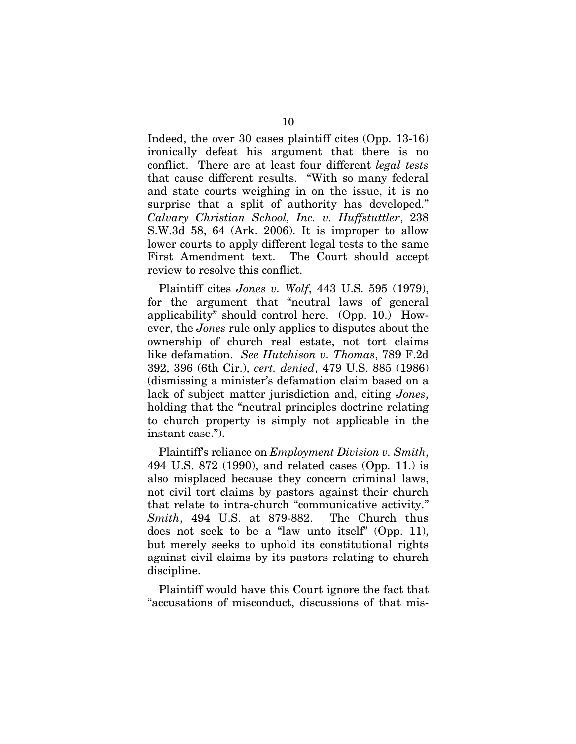Indeed, the over 30 cases plaintiff cites (Opp. 13-16) ironically defeat his argument that there is no conflict. There are at least four different *legal tests* that cause different results. "With so many federal and state courts weighing in on the issue, it is no surprise that a split of authority has developed." *Calvary Christian School, Inc. v. Huffstuttler*, 238 S.W.3d 58, 64 (Ark. 2006). It is improper to allow lower courts to apply different legal tests to the same First Amendment text. The Court should accept review to resolve this conflict.

Plaintiff cites *Jones v. Wolf*, 443 U.S. 595 (1979), for the argument that "neutral laws of general applicability" should control here. (Opp. 10.) However, the *Jones* rule only applies to disputes about the ownership of church real estate, not tort claims like defamation. *See Hutchison v. Thomas*, 789 F.2d 392, 396 (6th Cir.), *cert. denied*, 479 U.S. 885 (1986) (dismissing a minister's defamation claim based on a lack of subject matter jurisdiction and, citing *Jones*, holding that the "neutral principles doctrine relating to church property is simply not applicable in the instant case.").

Plaintiff's reliance on *Employment Division v. Smith*, 494 U.S. 872 (1990), and related cases (Opp. 11.) is also misplaced because they concern criminal laws, not civil tort claims by pastors against their church that relate to intra-church "communicative activity." *Smith*, 494 U.S. at 879-882. The Church thus does not seek to be a "law unto itself" (Opp. 11), but merely seeks to uphold its constitutional rights against civil claims by its pastors relating to church discipline.

Plaintiff would have this Court ignore the fact that "accusations of misconduct, discussions of that mis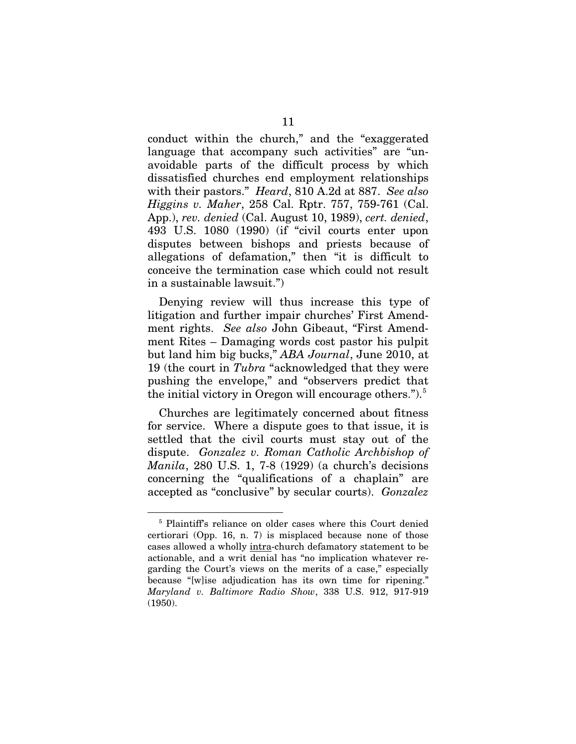conduct within the church," and the "exaggerated language that accompany such activities" are "unavoidable parts of the difficult process by which dissatisfied churches end employment relationships with their pastors." *Heard*, 810 A.2d at 887. *See also Higgins v. Maher*, 258 Cal. Rptr. 757, 759-761 (Cal. App.), *rev. denied* (Cal. August 10, 1989), *cert. denied*, 493 U.S. 1080 (1990) (if "civil courts enter upon disputes between bishops and priests because of allegations of defamation," then "it is difficult to conceive the termination case which could not result in a sustainable lawsuit.")

Denying review will thus increase this type of litigation and further impair churches' First Amendment rights. *See also* John Gibeaut, "First Amendment Rites – Damaging words cost pastor his pulpit but land him big bucks," *ABA Journal*, June 2010, at 19 (the court in *Tubra* "acknowledged that they were pushing the envelope," and "observers predict that the initial victory in Oregon will encourage others."). $5$ 

Churches are legitimately concerned about fitness for service. Where a dispute goes to that issue, it is settled that the civil courts must stay out of the dispute. *Gonzalez v. Roman Catholic Archbishop of Manila*, 280 U.S. 1, 7-8 (1929) (a church's decisions concerning the "qualifications of a chaplain" are accepted as "conclusive" by secular courts). *Gonzalez*

<span id="page-14-0"></span><sup>&</sup>lt;sup>5</sup> Plaintiff's reliance on older cases where this Court denied certiorari (Opp. 16, n. 7) is misplaced because none of those cases allowed a wholly intra-church defamatory statement to be actionable, and a writ denial has "no implication whatever regarding the Court's views on the merits of a case," especially because "[w]ise adjudication has its own time for ripening." *Maryland v. Baltimore Radio Show*, 338 U.S. 912, 917-919 (1950).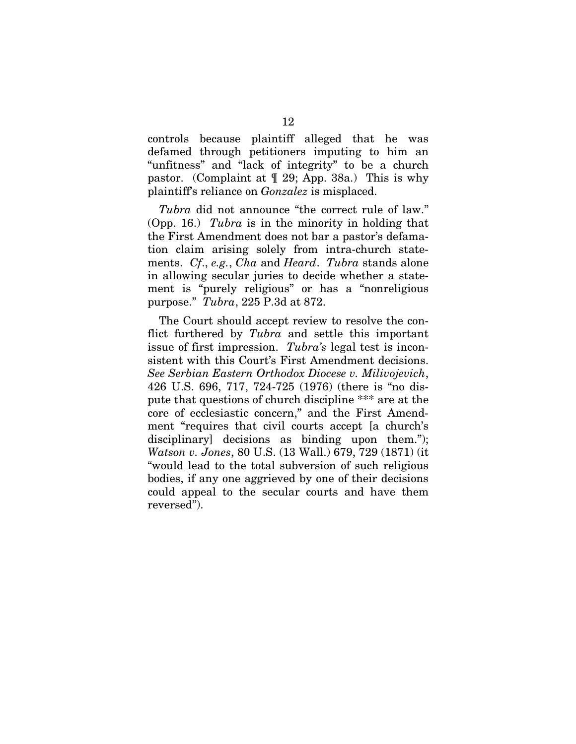controls because plaintiff alleged that he was defamed through petitioners imputing to him an "unfitness" and "lack of integrity" to be a church pastor. (Complaint at ¶ 29; App. 38a.) This is why plaintiff's reliance on *Gonzalez* is misplaced.

*Tubra* did not announce "the correct rule of law." (Opp. 16.) *Tubra* is in the minority in holding that the First Amendment does not bar a pastor's defamation claim arising solely from intra-church statements. *Cf*., *e.g.*, *Cha* and *Heard*. *Tubra* stands alone in allowing secular juries to decide whether a statement is "purely religious" or has a "nonreligious purpose." *Tubra*, 225 P.3d at 872.

The Court should accept review to resolve the conflict furthered by *Tubra* and settle this important issue of first impression. *Tubra's* legal test is inconsistent with this Court's First Amendment decisions. *See Serbian Eastern Orthodox Diocese v. Milivojevich*, 426 U.S. 696, 717, 724-725 (1976) (there is "no dispute that questions of church discipline \*\*\* are at the core of ecclesiastic concern," and the First Amendment "requires that civil courts accept [a church's disciplinary] decisions as binding upon them."); *Watson v. Jones*, 80 U.S. (13 Wall.) 679, 729 (1871) (it "would lead to the total subversion of such religious bodies, if any one aggrieved by one of their decisions could appeal to the secular courts and have them reversed").